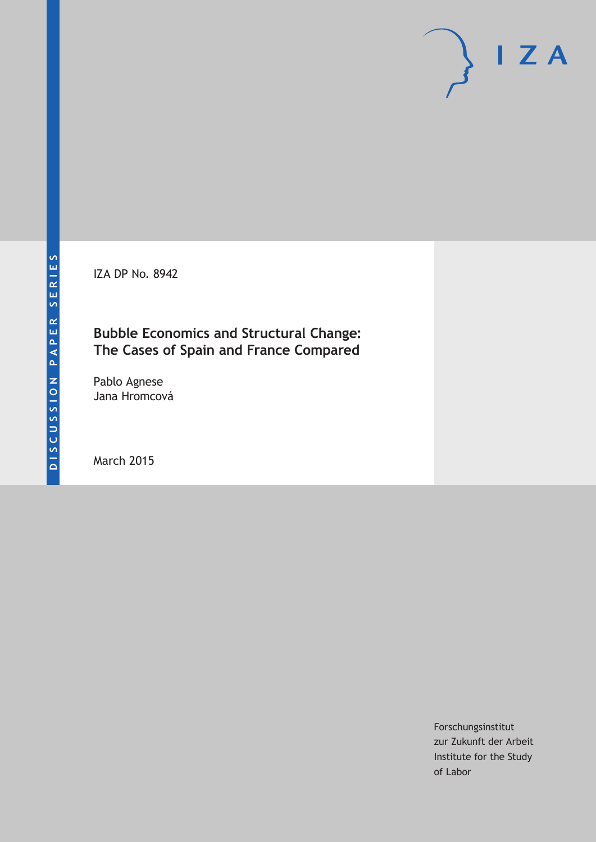IZA DP No. 8942

# **Bubble Economics and Structural Change: The Cases of Spain and France Compared**

Pablo Agnese Jana Hromcová

March 2015

Forschungsinstitut zur Zukunft der Arbeit Institute for the Study of Labor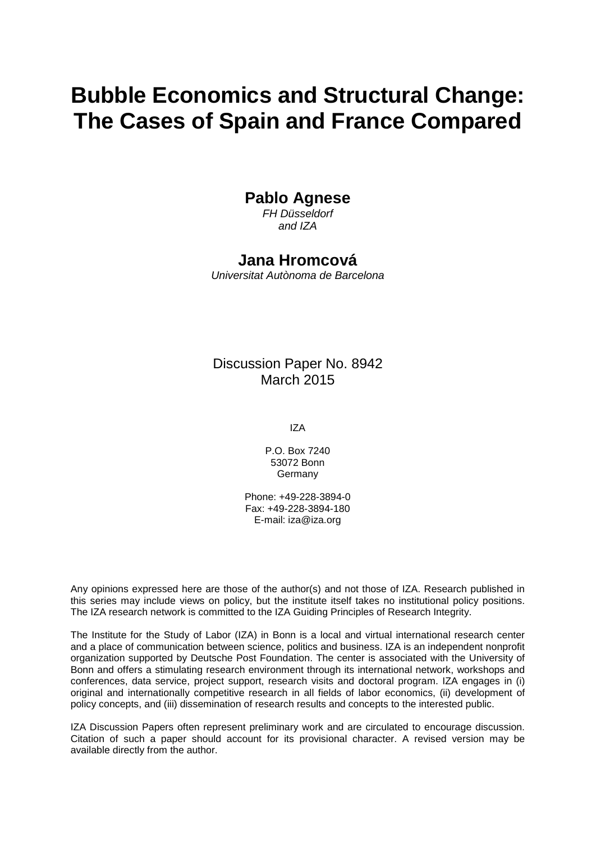# **Bubble Economics and Structural Change: The Cases of Spain and France Compared**

# **Pablo Agnese**

*FH Düsseldorf and IZA*

### **Jana Hromcová**

*Universitat Autònoma de Barcelona*

### Discussion Paper No. 8942 March 2015

IZA

P.O. Box 7240 53072 Bonn Germany

Phone: +49-228-3894-0 Fax: +49-228-3894-180 E-mail: iza@iza.org

Any opinions expressed here are those of the author(s) and not those of IZA. Research published in this series may include views on policy, but the institute itself takes no institutional policy positions. The IZA research network is committed to the IZA Guiding Principles of Research Integrity.

The Institute for the Study of Labor (IZA) in Bonn is a local and virtual international research center and a place of communication between science, politics and business. IZA is an independent nonprofit organization supported by Deutsche Post Foundation. The center is associated with the University of Bonn and offers a stimulating research environment through its international network, workshops and conferences, data service, project support, research visits and doctoral program. IZA engages in (i) original and internationally competitive research in all fields of labor economics, (ii) development of policy concepts, and (iii) dissemination of research results and concepts to the interested public.

<span id="page-1-0"></span>IZA Discussion Papers often represent preliminary work and are circulated to encourage discussion. Citation of such a paper should account for its provisional character. A revised version may be available directly from the author.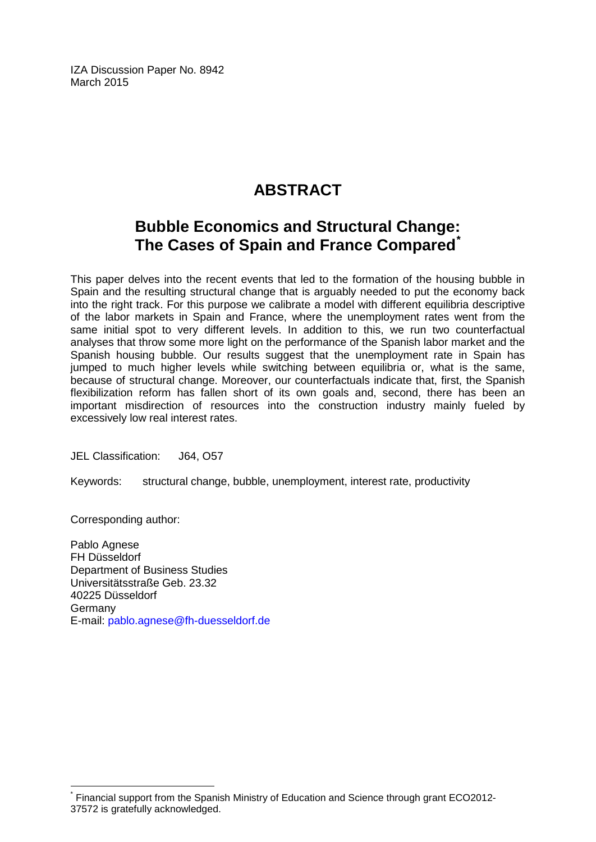IZA Discussion Paper No. 8942 March 2015

# **ABSTRACT**

# **Bubble Economics and Structural Change: The Cases of Spain and France Compared[\\*](#page-1-0)**

This paper delves into the recent events that led to the formation of the housing bubble in Spain and the resulting structural change that is arguably needed to put the economy back into the right track. For this purpose we calibrate a model with different equilibria descriptive of the labor markets in Spain and France, where the unemployment rates went from the same initial spot to very different levels. In addition to this, we run two counterfactual analyses that throw some more light on the performance of the Spanish labor market and the Spanish housing bubble. Our results suggest that the unemployment rate in Spain has jumped to much higher levels while switching between equilibria or, what is the same, because of structural change. Moreover, our counterfactuals indicate that, first, the Spanish flexibilization reform has fallen short of its own goals and, second, there has been an important misdirection of resources into the construction industry mainly fueled by excessively low real interest rates.

JEL Classification: J64, O57

Keywords: structural change, bubble, unemployment, interest rate, productivity

Corresponding author:

Pablo Agnese FH Düsseldorf Department of Business Studies Universitätsstraße Geb. 23.32 40225 Düsseldorf Germany E-mail: [pablo.agnese@fh-duesseldorf.de](mailto:pablo.agnese@fh-duesseldorf.de)

Financial support from the Spanish Ministry of Education and Science through grant ECO2012-37572 is gratefully acknowledged.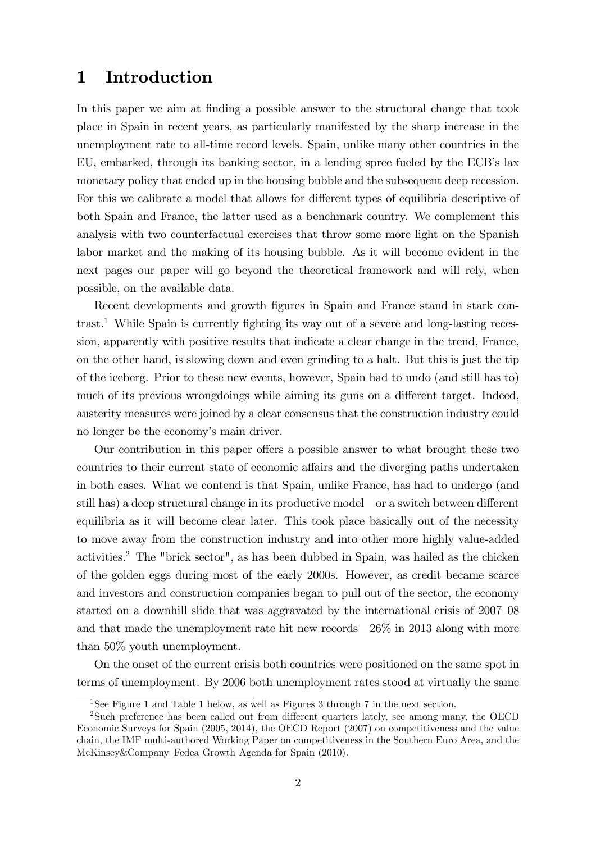# 1 Introduction

In this paper we aim at finding a possible answer to the structural change that took place in Spain in recent years, as particularly manifested by the sharp increase in the unemployment rate to all-time record levels. Spain, unlike many other countries in the EU, embarked, through its banking sector, in a lending spree fueled by the ECB's lax monetary policy that ended up in the housing bubble and the subsequent deep recession. For this we calibrate a model that allows for different types of equilibria descriptive of both Spain and France, the latter used as a benchmark country. We complement this analysis with two counterfactual exercises that throw some more light on the Spanish labor market and the making of its housing bubble. As it will become evident in the next pages our paper will go beyond the theoretical framework and will rely, when possible, on the available data.

Recent developments and growth figures in Spain and France stand in stark con- $\text{trast.}^1$  While Spain is currently fighting its way out of a severe and long-lasting recession, apparently with positive results that indicate a clear change in the trend, France, on the other hand, is slowing down and even grinding to a halt. But this is just the tip of the iceberg. Prior to these new events, however, Spain had to undo (and still has to) much of its previous wrongdoings while aiming its guns on a different target. Indeed, austerity measures were joined by a clear consensus that the construction industry could no longer be the economy's main driver.

Our contribution in this paper offers a possible answer to what brought these two countries to their current state of economic affairs and the diverging paths undertaken in both cases. What we contend is that Spain, unlike France, has had to undergo (and still has) a deep structural change in its productive model—or a switch between different equilibria as it will become clear later. This took place basically out of the necessity to move away from the construction industry and into other more highly value-added activities.<sup>2</sup> The "brick sector", as has been dubbed in Spain, was hailed as the chicken of the golden eggs during most of the early 2000s. However, as credit became scarce and investors and construction companies began to pull out of the sector, the economy started on a downhill slide that was aggravated by the international crisis of 2007–08 and that made the unemployment rate hit new records— $26\%$  in 2013 along with more than 50% youth unemployment.

On the onset of the current crisis both countries were positioned on the same spot in terms of unemployment. By 2006 both unemployment rates stood at virtually the same

<sup>&</sup>lt;sup>1</sup>See Figure 1 and Table 1 below, as well as Figures 3 through 7 in the next section.

<sup>&</sup>lt;sup>2</sup>Such preference has been called out from different quarters lately, see among many, the OECD Economic Surveys for Spain (2005, 2014), the OECD Report (2007) on competitiveness and the value chain, the IMF multi-authored Working Paper on competitiveness in the Southern Euro Area, and the McKinsey&Company–Fedea Growth Agenda for Spain (2010).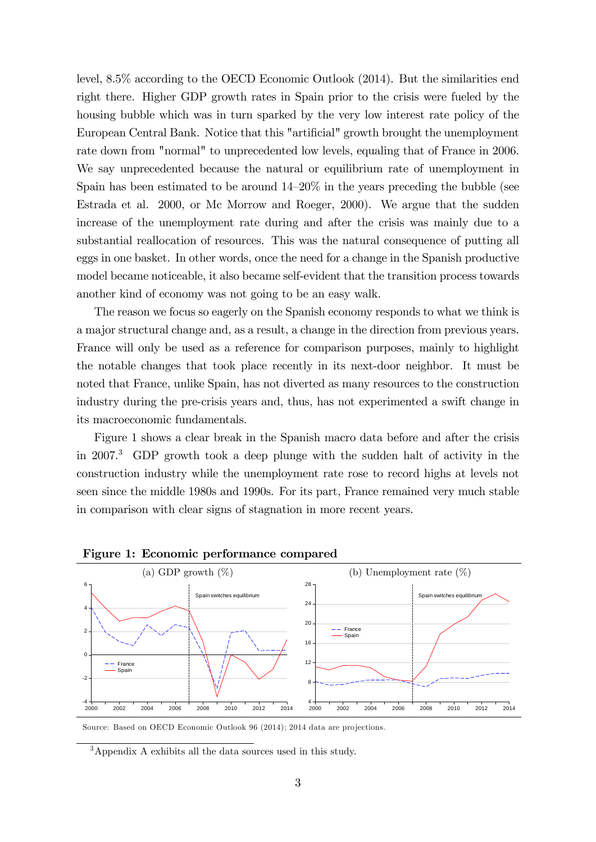level, 8.5% according to the OECD Economic Outlook (2014). But the similarities end right there. Higher GDP growth rates in Spain prior to the crisis were fueled by the housing bubble which was in turn sparked by the very low interest rate policy of the European Central Bank. Notice that this "artificial" growth brought the unemployment rate down from "normal" to unprecedented low levels, equaling that of France in 2006. We say unprecedented because the natural or equilibrium rate of unemployment in Spain has been estimated to be around  $14-20\%$  in the years preceding the bubble (see Estrada et al. 2000, or Mc Morrow and Roeger, 2000). We argue that the sudden increase of the unemployment rate during and after the crisis was mainly due to a substantial reallocation of resources. This was the natural consequence of putting all eggs in one basket. In other words, once the need for a change in the Spanish productive model became noticeable, it also became self-evident that the transition process towards another kind of economy was not going to be an easy walk.

The reason we focus so eagerly on the Spanish economy responds to what we think is a major structural change and, as a result, a change in the direction from previous years. France will only be used as a reference for comparison purposes, mainly to highlight the notable changes that took place recently in its next-door neighbor. It must be noted that France, unlike Spain, has not diverted as many resources to the construction industry during the pre-crisis years and, thus, has not experimented a swift change in its macroeconomic fundamentals.

Figure 1 shows a clear break in the Spanish macro data before and after the crisis in 2007.<sup>3</sup> GDP growth took a deep plunge with the sudden halt of activity in the construction industry while the unemployment rate rose to record highs at levels not seen since the middle 1980s and 1990s. For its part, France remained very much stable in comparison with clear signs of stagnation in more recent years.



Figure 1: Economic performance compared

Source: Based on OECD Economic Outlook 96 (2014); 2014 data are projections.

<sup>3</sup>Appendix A exhibits all the data sources used in this study.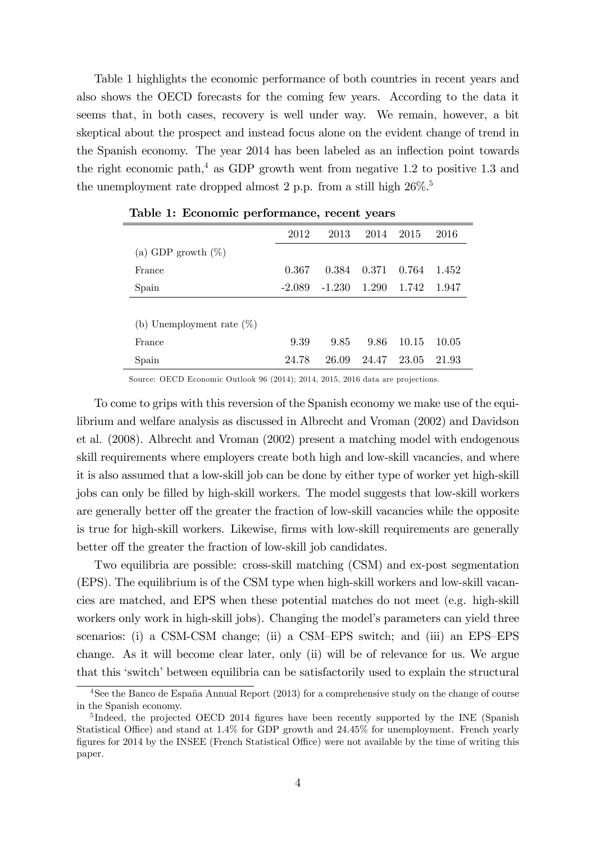Table 1 highlights the economic performance of both countries in recent years and also shows the OECD forecasts for the coming few years. According to the data it seems that, in both cases, recovery is well under way. We remain, however, a bit skeptical about the prospect and instead focus alone on the evident change of trend in the Spanish economy. The year 2014 has been labeled as an inflection point towards the right economic path, $4$  as GDP growth went from negative 1.2 to positive 1.3 and the unemployment rate dropped almost 2 p.p. from a still high  $26\%$ .<sup>5</sup>

|                              | 2012     | 2013     | 2014  | 2015  | 2016  |  |
|------------------------------|----------|----------|-------|-------|-------|--|
| (a) GDP growth $(\%)$        |          |          |       |       |       |  |
| France                       | 0.367    | 0.384    | 0.371 | 0.764 | 1.452 |  |
| Spain                        | $-2.089$ | $-1.230$ | 1.290 | 1.742 | 1.947 |  |
|                              |          |          |       |       |       |  |
| (b) Unemployment rate $(\%)$ |          |          |       |       |       |  |
| France                       | 9.39     | 9.85     | 9.86  | 10.15 | 10.05 |  |
| Spain                        | 24.78    | 26.09    | 24.47 | 23.05 | 21.93 |  |

Table 1: Economic performance, recent years

Source: OECD Economic Outlook 96 (2014); 2014, 2015, 2016 data are projections.

To come to grips with this reversion of the Spanish economy we make use of the equilibrium and welfare analysis as discussed in Albrecht and Vroman (2002) and Davidson et al. (2008). Albrecht and Vroman (2002) present a matching model with endogenous skill requirements where employers create both high and low-skill vacancies, and where it is also assumed that a low-skill job can be done by either type of worker yet high-skill jobs can only be Ölled by high-skill workers. The model suggests that low-skill workers are generally better off the greater the fraction of low-skill vacancies while the opposite is true for high-skill workers. Likewise, firms with low-skill requirements are generally better off the greater the fraction of low-skill job candidates.

Two equilibria are possible: cross-skill matching (CSM) and ex-post segmentation (EPS). The equilibrium is of the CSM type when high-skill workers and low-skill vacancies are matched, and EPS when these potential matches do not meet (e.g. high-skill workers only work in high-skill jobs). Changing the model's parameters can yield three scenarios: (i) a CSM-CSM change; (ii) a CSM-EPS switch; and (iii) an EPS-EPS change. As it will become clear later, only (ii) will be of relevance for us. We argue that this 'switch' between equilibria can be satisfactorily used to explain the structural

 $4$ See the Banco de España Annual Report (2013) for a comprehensive study on the change of course in the Spanish economy.

<sup>&</sup>lt;sup>5</sup>Indeed, the projected OECD 2014 figures have been recently supported by the INE (Spanish Statistical Office) and stand at  $1.4\%$  for GDP growth and  $24.45\%$  for unemployment. French yearly figures for 2014 by the INSEE (French Statistical Office) were not available by the time of writing this paper.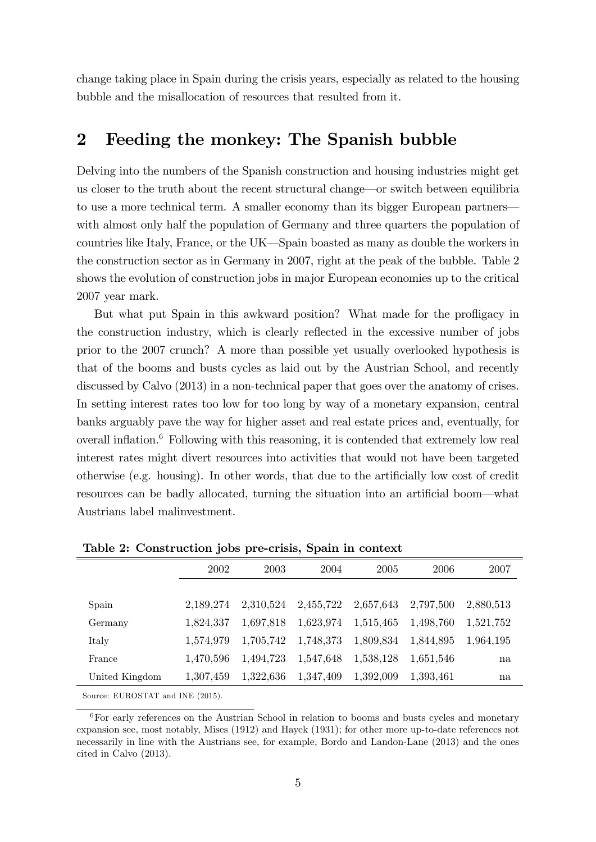change taking place in Spain during the crisis years, especially as related to the housing bubble and the misallocation of resources that resulted from it.

# 2 Feeding the monkey: The Spanish bubble

Delving into the numbers of the Spanish construction and housing industries might get us closer to the truth about the recent structural change—or switch between equilibria to use a more technical term. A smaller economy than its bigger European partners with almost only half the population of Germany and three quarters the population of countries like Italy, France, or the UK—Spain boasted as many as double the workers in the construction sector as in Germany in 2007, right at the peak of the bubble. Table 2 shows the evolution of construction jobs in major European economies up to the critical 2007 year mark.

But what put Spain in this awkward position? What made for the profligacy in the construction industry, which is clearly reflected in the excessive number of jobs prior to the 2007 crunch? A more than possible yet usually overlooked hypothesis is that of the booms and busts cycles as laid out by the Austrian School, and recently discussed by Calvo  $(2013)$  in a non-technical paper that goes over the anatomy of crises. In setting interest rates too low for too long by way of a monetary expansion, central banks arguably pave the way for higher asset and real estate prices and, eventually, for overall inflation. $6$  Following with this reasoning, it is contended that extremely low real interest rates might divert resources into activities that would not have been targeted otherwise (e.g. housing). In other words, that due to the artificially low cost of credit resources can be badly allocated, turning the situation into an artificial boom—what Austrians label malinvestment.

|                | 2002      | 2003      | 2004      | 2005      | 2006      | 2007      |  |
|----------------|-----------|-----------|-----------|-----------|-----------|-----------|--|
|                |           |           |           |           |           |           |  |
| Spain          | 2.189.274 | 2,310,524 | 2,455,722 | 2,657,643 | 2,797,500 | 2,880,513 |  |
| Germany        | 1,824,337 | 1,697,818 | 1,623,974 | 1,515,465 | 1,498,760 | 1,521,752 |  |
| Italy          | 1,574,979 | 1,705,742 | 1,748,373 | 1,809,834 | 1,844,895 | 1,964,195 |  |
| France         | 1,470,596 | 1,494,723 | 1,547,648 | 1,538,128 | 1,651,546 | na        |  |
| United Kingdom | 1,307,459 | 1,322,636 | 1,347,409 | 1,392,009 | 1,393,461 | na        |  |
|                |           |           |           |           |           |           |  |

Table 2: Construction jobs pre-crisis, Spain in context

Source: EUROSTAT and INE (2015).

<sup>6</sup>For early references on the Austrian School in relation to booms and busts cycles and monetary expansion see, most notably, Mises (1912) and Hayek (1931); for other more up-to-date references not necessarily in line with the Austrians see, for example, Bordo and Landon-Lane (2013) and the ones cited in Calvo (2013).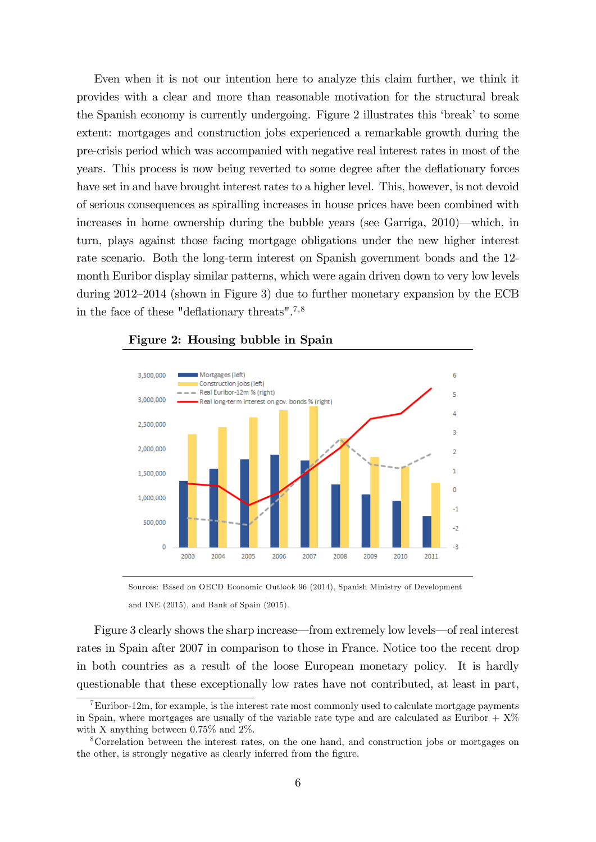Even when it is not our intention here to analyze this claim further, we think it provides with a clear and more than reasonable motivation for the structural break the Spanish economy is currently undergoing. Figure 2 illustrates this 'break' to some extent: mortgages and construction jobs experienced a remarkable growth during the pre-crisis period which was accompanied with negative real interest rates in most of the years. This process is now being reverted to some degree after the deflationary forces have set in and have brought interest rates to a higher level. This, however, is not devoid of serious consequences as spiralling increases in house prices have been combined with increases in home ownership during the bubble years (see Garriga,  $2010$ )—which, in turn, plays against those facing mortgage obligations under the new higher interest rate scenario. Both the long-term interest on Spanish government bonds and the 12 month Euribor display similar patterns, which were again driven down to very low levels during  $2012-2014$  (shown in Figure 3) due to further monetary expansion by the ECB in the face of these "deflationary threats".<sup>7,8</sup>



#### Figure 2: Housing bubble in Spain

Sources: Based on OECD Economic Outlook 96 (2014), Spanish Ministry of Development and INE (2015), and Bank of Spain (2015).

Figure 3 clearly shows the sharp increase—from extremely low levels—of real interest rates in Spain after 2007 in comparison to those in France. Notice too the recent drop in both countries as a result of the loose European monetary policy. It is hardly questionable that these exceptionally low rates have not contributed, at least in part,

 ${}^{7}$ Euribor-12m, for example, is the interest rate most commonly used to calculate mortgage payments in Spain, where mortgages are usually of the variable rate type and are calculated as Euribor  $+ X\%$ with X anything between 0.75% and 2%.

<sup>8</sup>Correlation between the interest rates, on the one hand, and construction jobs or mortgages on the other, is strongly negative as clearly inferred from the figure.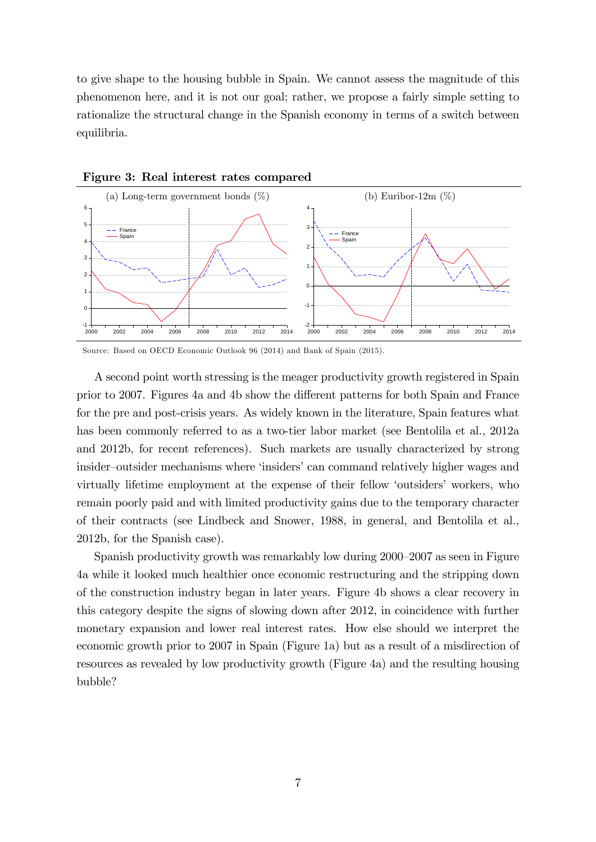to give shape to the housing bubble in Spain. We cannot assess the magnitude of this phenomenon here, and it is not our goal; rather, we propose a fairly simple setting to rationalize the structural change in the Spanish economy in terms of a switch between equilibria.



Figure 3: Real interest rates compared

Source: Based on OECD Economic Outlook 96 (2014) and Bank of Spain (2015).

A second point worth stressing is the meager productivity growth registered in Spain prior to 2007. Figures 4a and 4b show the different patterns for both Spain and France for the pre and post-crisis years. As widely known in the literature, Spain features what has been commonly referred to as a two-tier labor market (see Bentolila et al., 2012a and 2012b, for recent references). Such markets are usually characterized by strong insider–outsider mechanisms where 'insiders' can command relatively higher wages and virtually lifetime employment at the expense of their fellow ëoutsidersí workers, who remain poorly paid and with limited productivity gains due to the temporary character of their contracts (see Lindbeck and Snower, 1988, in general, and Bentolila et al., 2012b, for the Spanish case).

Spanish productivity growth was remarkably low during 2000–2007 as seen in Figure 4a while it looked much healthier once economic restructuring and the stripping down of the construction industry began in later years. Figure 4b shows a clear recovery in this category despite the signs of slowing down after 2012, in coincidence with further monetary expansion and lower real interest rates. How else should we interpret the economic growth prior to 2007 in Spain (Figure 1a) but as a result of a misdirection of resources as revealed by low productivity growth (Figure 4a) and the resulting housing bubble?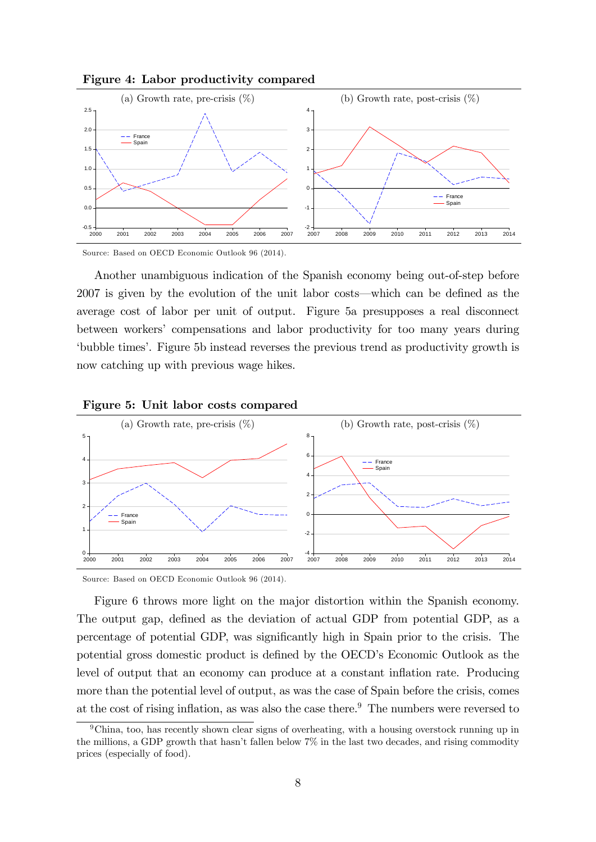



Source: Based on OECD Economic Outlook 96 (2014).

Another unambiguous indication of the Spanish economy being out-of-step before  $2007$  is given by the evolution of the unit labor costs—which can be defined as the average cost of labor per unit of output. Figure 5a presupposes a real disconnect between workersí compensations and labor productivity for too many years during ëbubble timesí. Figure 5b instead reverses the previous trend as productivity growth is now catching up with previous wage hikes.



#### Figure 5: Unit labor costs compared

Source: Based on OECD Economic Outlook 96 (2014).

Figure 6 throws more light on the major distortion within the Spanish economy. The output gap, defined as the deviation of actual GDP from potential GDP, as a percentage of potential GDP, was significantly high in Spain prior to the crisis. The potential gross domestic product is defined by the OECD's Economic Outlook as the level of output that an economy can produce at a constant inflation rate. Producing more than the potential level of output, as was the case of Spain before the crisis, comes at the cost of rising inflation, as was also the case there.<sup>9</sup> The numbers were reversed to

<sup>9</sup>China, too, has recently shown clear signs of overheating, with a housing overstock running up in the millions, a GDP growth that hasn't fallen below  $7\%$  in the last two decades, and rising commodity prices (especially of food).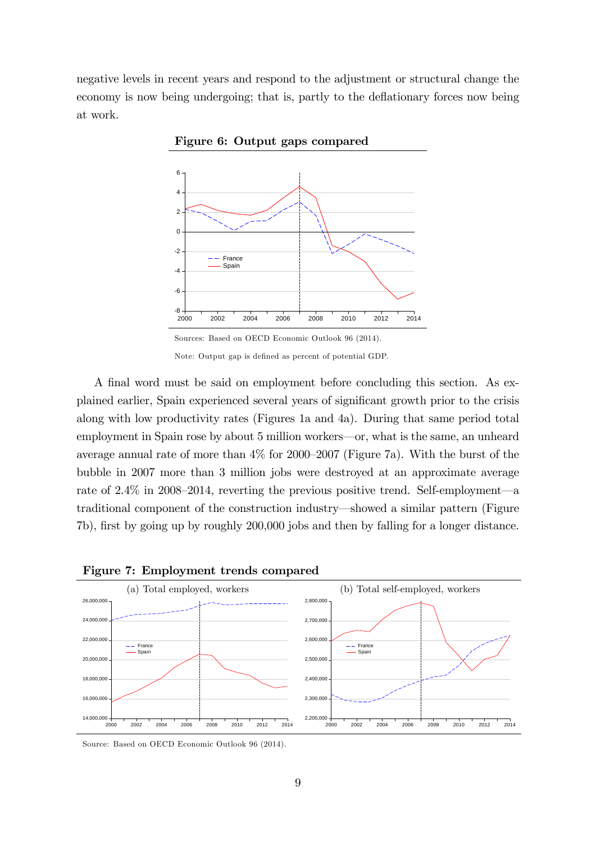negative levels in recent years and respond to the adjustment or structural change the economy is now being undergoing; that is, partly to the deflationary forces now being at work.



Figure 6: Output gaps compared

A final word must be said on employment before concluding this section. As explained earlier. Spain experienced several years of significant growth prior to the crisis along with low productivity rates (Figures 1a and 4a). During that same period total employment in Spain rose by about 5 million workers—or, what is the same, an unheard average annual rate of more than  $4\%$  for 2000–2007 (Figure 7a). With the burst of the bubble in 2007 more than 3 million jobs were destroyed at an approximate average rate of 2.4% in 2008–2014, reverting the previous positive trend. Self-employment—a traditional component of the construction industry—showed a similar pattern (Figure 7b), first by going up by roughly 200,000 jobs and then by falling for a longer distance.





Source: Based on OECD Economic Outlook 96 (2014).

Note: Output gap is defined as percent of potential GDP.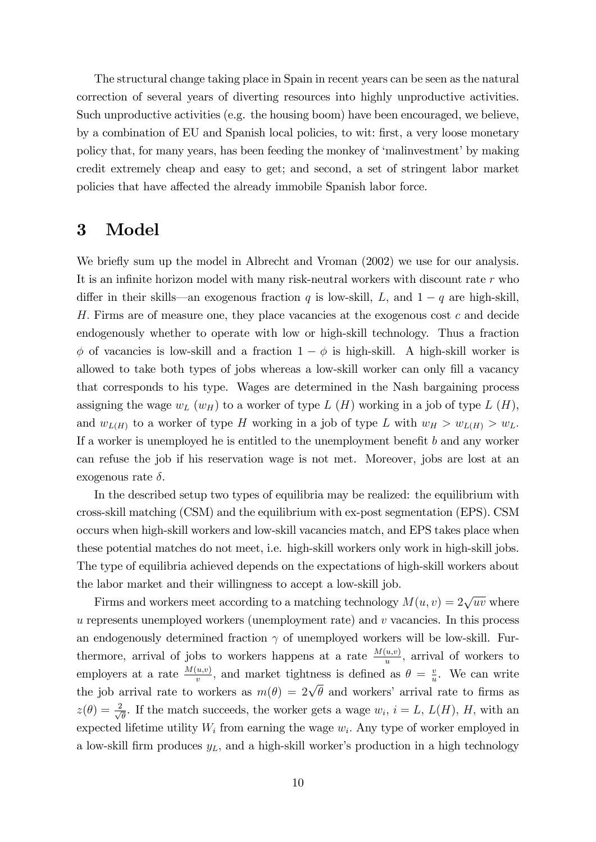The structural change taking place in Spain in recent years can be seen as the natural correction of several years of diverting resources into highly unproductive activities. Such unproductive activities (e.g. the housing boom) have been encouraged, we believe, by a combination of EU and Spanish local policies, to wit: first, a very loose monetary policy that, for many years, has been feeding the monkey of 'malinvestment' by making credit extremely cheap and easy to get; and second, a set of stringent labor market policies that have affected the already immobile Spanish labor force.

## 3 Model

We briefly sum up the model in Albrecht and Vroman (2002) we use for our analysis. It is an infinite horizon model with many risk-neutral workers with discount rate  $r$  who differ in their skills—an exogenous fraction q is low-skill, L, and  $1 - q$  are high-skill, H: Firms are of measure one, they place vacancies at the exogenous cost c and decide endogenously whether to operate with low or high-skill technology. Thus a fraction  $\phi$  of vacancies is low-skill and a fraction  $1 - \phi$  is high-skill. A high-skill worker is allowed to take both types of jobs whereas a low-skill worker can only fill a vacancy that corresponds to his type. Wages are determined in the Nash bargaining process assigning the wage  $w_L(w_H)$  to a worker of type  $L(H)$  working in a job of type  $L(H)$ , and  $w_{L(H)}$  to a worker of type H working in a job of type L with  $w_H > w_{L(H)} > w_L$ . If a worker is unemployed he is entitled to the unemployment benefit  $b$  and any worker can refuse the job if his reservation wage is not met. Moreover, jobs are lost at an exogenous rate  $\delta$ .

In the described setup two types of equilibria may be realized: the equilibrium with cross-skill matching (CSM) and the equilibrium with ex-post segmentation (EPS). CSM occurs when high-skill workers and low-skill vacancies match, and EPS takes place when these potential matches do not meet, i.e. high-skill workers only work in high-skill jobs. The type of equilibria achieved depends on the expectations of high-skill workers about the labor market and their willingness to accept a low-skill job.

Firms and workers meet according to a matching technology  $M(u, v) = 2\sqrt{uv}$  where  $u$  represents unemployed workers (unemployment rate) and  $v$  vacancies. In this process an endogenously determined fraction  $\gamma$  of unemployed workers will be low-skill. Furthermore, arrival of jobs to workers happens at a rate  $\frac{M(u,v)}{u}$ , arrival of workers to employers at a rate  $\frac{M(u,v)}{v}$ , and market tightness is defined as  $\theta = \frac{v}{u}$  $\frac{v}{u}$ . We can write the job arrival rate to workers as  $m(\theta) = 2\sqrt{\theta}$  and workers' arrival rate to firms as  $z(\theta) = \frac{2}{\sqrt{2}}$  $\frac{d}{\theta}$ . If the match succeeds, the worker gets a wage  $w_i$ ,  $i = L$ ,  $L(H)$ ,  $H$ , with an expected lifetime utility  $W_i$  from earning the wage  $w_i$ . Any type of worker employed in a low-skill firm produces  $y_L$ , and a high-skill worker's production in a high technology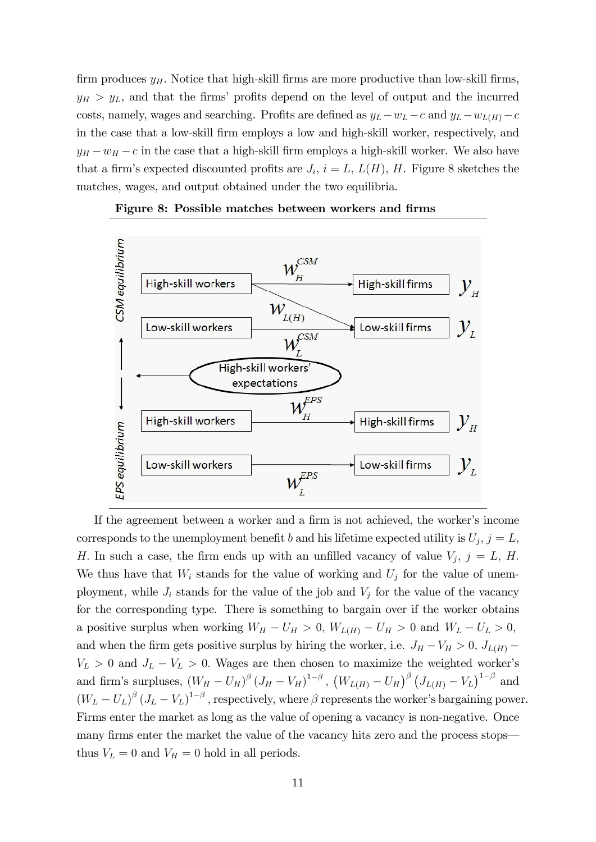firm produces  $y_H$ . Notice that high-skill firms are more productive than low-skill firms,  $y_H > y_L$ , and that the firms' profits depend on the level of output and the incurred costs, namely, wages and searching. Profits are defined as  $y_L - w_L - c$  and  $y_L - w_{L(H)} - c$ in the case that a low-skill Örm employs a low and high-skill worker, respectively, and  $y_H - w_H - c$  in the case that a high-skill firm employs a high-skill worker. We also have that a firm's expected discounted profits are  $J_i$ ,  $i = L$ ,  $L(H)$ , H. Figure 8 sketches the matches, wages, and output obtained under the two equilibria.





If the agreement between a worker and a firm is not achieved, the worker's income corresponds to the unemployment benefit b and his lifetime expected utility is  $U_j$ ,  $j = L$ , H. In such a case, the firm ends up with an unfilled vacancy of value  $V_j$ ,  $j = L$ , H. We thus have that  $W_i$  stands for the value of working and  $U_j$  for the value of unemployment, while  $J_i$  stands for the value of the job and  $V_j$  for the value of the vacancy for the corresponding type. There is something to bargain over if the worker obtains a positive surplus when working  $W_H - U_H > 0$ ,  $W_{L(H)} - U_H > 0$  and  $W_L - U_L > 0$ , and when the firm gets positive surplus by hiring the worker, i.e.  $J_H - V_H > 0$ ,  $J_{L(H)}$  $V_L > 0$  and  $J_L - V_L > 0$ . Wages are then chosen to maximize the weighted worker's and firm's surpluses,  $(W_H - U_H)^{\beta} (J_H - V_H)^{1-\beta}$ ,  $(W_{L(H)} - U_H)^{\beta} (J_{L(H)} - V_L)^{1-\beta}$  and  $(W_L - U_L)^{\beta} (J_L - V_L)^{1-\beta}$ , respectively, where  $\beta$  represents the worker's bargaining power. Firms enter the market as long as the value of opening a vacancy is non-negative. Once many firms enter the market the value of the vacancy hits zero and the process stops thus  $V_L = 0$  and  $V_H = 0$  hold in all periods.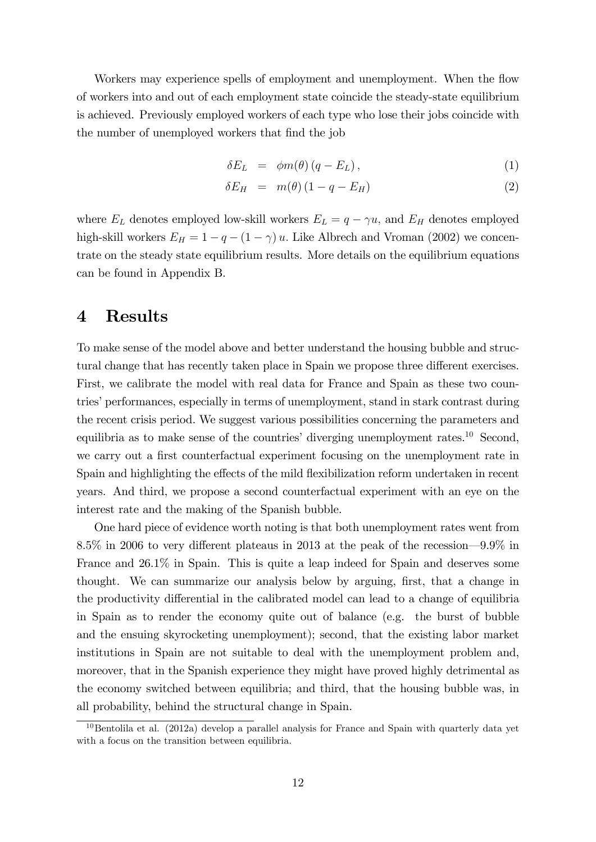Workers may experience spells of employment and unemployment. When the flow of workers into and out of each employment state coincide the steady-state equilibrium is achieved. Previously employed workers of each type who lose their jobs coincide with the number of unemployed workers that find the job

$$
\delta E_L = \phi m(\theta) (q - E_L), \qquad (1)
$$

$$
\delta E_H = m(\theta) (1 - q - E_H) \tag{2}
$$

where  $E_L$  denotes employed low-skill workers  $E_L = q - \gamma u$ , and  $E_H$  denotes employed high-skill workers  $E_H = 1 - q - (1 - \gamma) u$ . Like Albrech and Vroman (2002) we concentrate on the steady state equilibrium results. More details on the equilibrium equations can be found in Appendix B.

### 4 Results

To make sense of the model above and better understand the housing bubble and structural change that has recently taken place in Spain we propose three different exercises. First, we calibrate the model with real data for France and Spain as these two countries' performances, especially in terms of unemployment, stand in stark contrast during the recent crisis period. We suggest various possibilities concerning the parameters and equilibria as to make sense of the countries' diverging unemployment rates.<sup>10</sup> Second, we carry out a first counterfactual experiment focusing on the unemployment rate in Spain and highlighting the effects of the mild flexibilization reform undertaken in recent years. And third, we propose a second counterfactual experiment with an eye on the interest rate and the making of the Spanish bubble.

One hard piece of evidence worth noting is that both unemployment rates went from 8.5% in 2006 to very different plateaus in 2013 at the peak of the recession—9.9% in France and 26.1% in Spain. This is quite a leap indeed for Spain and deserves some thought. We can summarize our analysis below by arguing, Örst, that a change in the productivity differential in the calibrated model can lead to a change of equilibria in Spain as to render the economy quite out of balance (e.g. the burst of bubble and the ensuing skyrocketing unemployment); second, that the existing labor market institutions in Spain are not suitable to deal with the unemployment problem and, moreover, that in the Spanish experience they might have proved highly detrimental as the economy switched between equilibria; and third, that the housing bubble was, in all probability, behind the structural change in Spain.

<sup>&</sup>lt;sup>10</sup>Bentolila et al. (2012a) develop a parallel analysis for France and Spain with quarterly data yet with a focus on the transition between equilibria.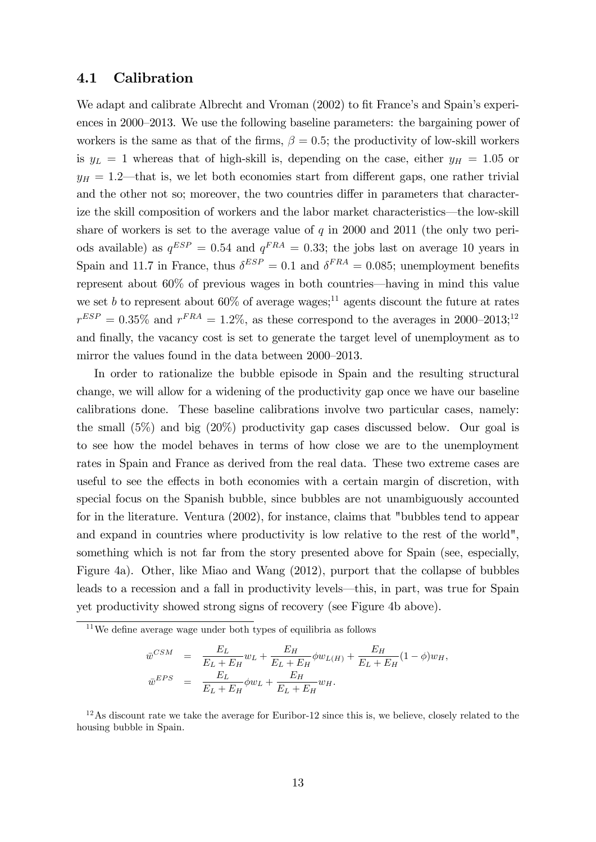#### 4.1 Calibration

We adapt and calibrate Albrecht and Vroman (2002) to fit France's and Spain's experiences in 2000–2013. We use the following baseline parameters: the bargaining power of workers is the same as that of the firms,  $\beta = 0.5$ ; the productivity of low-skill workers is  $y_L = 1$  whereas that of high-skill is, depending on the case, either  $y_H = 1.05$  or  $y_H = 1.2$ —that is, we let both economies start from different gaps, one rather trivial and the other not so; moreover, the two countries differ in parameters that characterize the skill composition of workers and the labor market characteristics—the low-skill share of workers is set to the average value of  $q$  in 2000 and 2011 (the only two periods available) as  $q^{ESP} = 0.54$  and  $q^{FRA} = 0.33$ ; the jobs last on average 10 years in Spain and 11.7 in France, thus  $\delta^{ESP} = 0.1$  and  $\delta^{FRA} = 0.085$ ; unemployment benefits represent about  $60\%$  of previous wages in both countries—having in mind this value we set b to represent about  $60\%$  of average wages;<sup>11</sup> agents discount the future at rates  $r^{ESP} = 0.35\%$  and  $r^{FRA} = 1.2\%$ , as these correspond to the averages in 2000–2013;<sup>12</sup> and finally, the vacancy cost is set to generate the target level of unemployment as to mirror the values found in the data between 2000–2013.

In order to rationalize the bubble episode in Spain and the resulting structural change, we will allow for a widening of the productivity gap once we have our baseline calibrations done. These baseline calibrations involve two particular cases, namely: the small (5%) and big (20%) productivity gap cases discussed below. Our goal is to see how the model behaves in terms of how close we are to the unemployment rates in Spain and France as derived from the real data. These two extreme cases are useful to see the effects in both economies with a certain margin of discretion, with special focus on the Spanish bubble, since bubbles are not unambiguously accounted for in the literature. Ventura (2002), for instance, claims that "bubbles tend to appear and expand in countries where productivity is low relative to the rest of the world", something which is not far from the story presented above for Spain (see, especially, Figure 4a). Other, like Miao and Wang (2012), purport that the collapse of bubbles leads to a recession and a fall in productivity levels—this, in part, was true for Spain yet productivity showed strong signs of recovery (see Figure 4b above).

$$
\begin{array}{rcl}\n\bar{w}^{CSM} & = & \frac{E_L}{E_L + E_H} w_L + \frac{E_H}{E_L + E_H} \phi w_{L(H)} + \frac{E_H}{E_L + E_H} (1 - \phi) w_H, \\
\bar{w}^{EPS} & = & \frac{E_L}{E_L + E_H} \phi w_L + \frac{E_H}{E_L + E_H} w_H.\n\end{array}
$$

 $12$ As discount rate we take the average for Euribor-12 since this is, we believe, closely related to the housing bubble in Spain.

 $11$ We define average wage under both types of equilibria as follows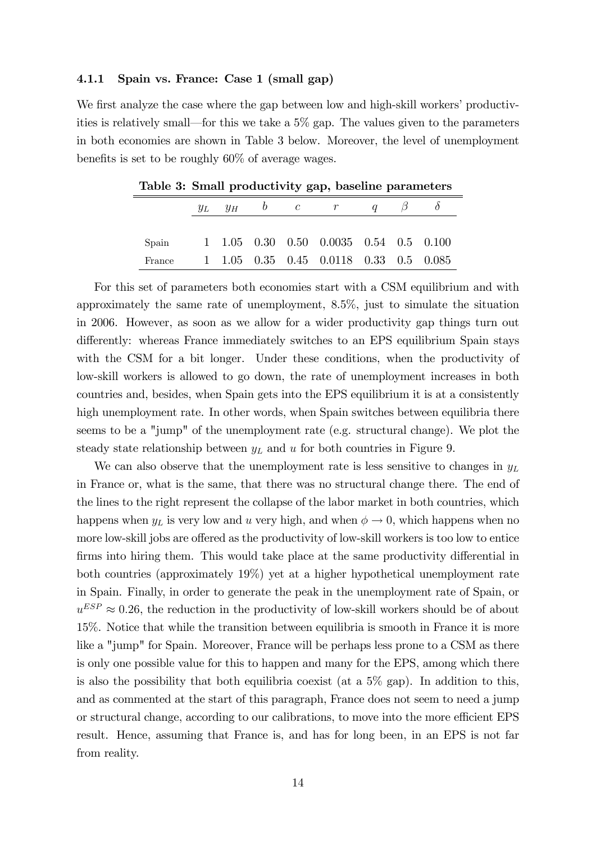#### 4.1.1 Spain vs. France: Case 1 (small gap)

We first analyze the case where the gap between low and high-skill workers' productivities is relatively small—for this we take a  $5\%$  gap. The values given to the parameters in both economies are shown in Table 3 below. Moreover, the level of unemployment benefits is set to be roughly  $60\%$  of average wages.

|                                              |  |  | $y_L$ $y_H$ b c r q                    |  |  |
|----------------------------------------------|--|--|----------------------------------------|--|--|
|                                              |  |  |                                        |  |  |
| Spain 1 1.05 0.30 0.50 0.0035 0.54 0.5 0.100 |  |  |                                        |  |  |
| France                                       |  |  | 1 1.05 0.35 0.45 0.0118 0.33 0.5 0.085 |  |  |

Table 3: Small productivity gap, baseline parameters

For this set of parameters both economies start with a CSM equilibrium and with approximately the same rate of unemployment, 8.5%, just to simulate the situation in 2006. However, as soon as we allow for a wider productivity gap things turn out differently: whereas France immediately switches to an EPS equilibrium Spain stays with the CSM for a bit longer. Under these conditions, when the productivity of low-skill workers is allowed to go down, the rate of unemployment increases in both countries and, besides, when Spain gets into the EPS equilibrium it is at a consistently high unemployment rate. In other words, when Spain switches between equilibria there seems to be a "jump" of the unemployment rate (e.g. structural change). We plot the steady state relationship between  $y<sub>L</sub>$  and u for both countries in Figure 9.

We can also observe that the unemployment rate is less sensitive to changes in  $y_L$ in France or, what is the same, that there was no structural change there. The end of the lines to the right represent the collapse of the labor market in both countries, which happens when  $y_L$  is very low and u very high, and when  $\phi \to 0$ , which happens when no more low-skill jobs are offered as the productivity of low-skill workers is too low to entice firms into hiring them. This would take place at the same productivity differential in both countries (approximately 19%) yet at a higher hypothetical unemployment rate in Spain. Finally, in order to generate the peak in the unemployment rate of Spain, or  $u^{ESP} \approx 0.26$ , the reduction in the productivity of low-skill workers should be of about 15%. Notice that while the transition between equilibria is smooth in France it is more like a "jump" for Spain. Moreover, France will be perhaps less prone to a CSM as there is only one possible value for this to happen and many for the EPS, among which there is also the possibility that both equilibria coexist (at a  $5\%$  gap). In addition to this, and as commented at the start of this paragraph, France does not seem to need a jump or structural change, according to our calibrations, to move into the more efficient EPS result. Hence, assuming that France is, and has for long been, in an EPS is not far from reality.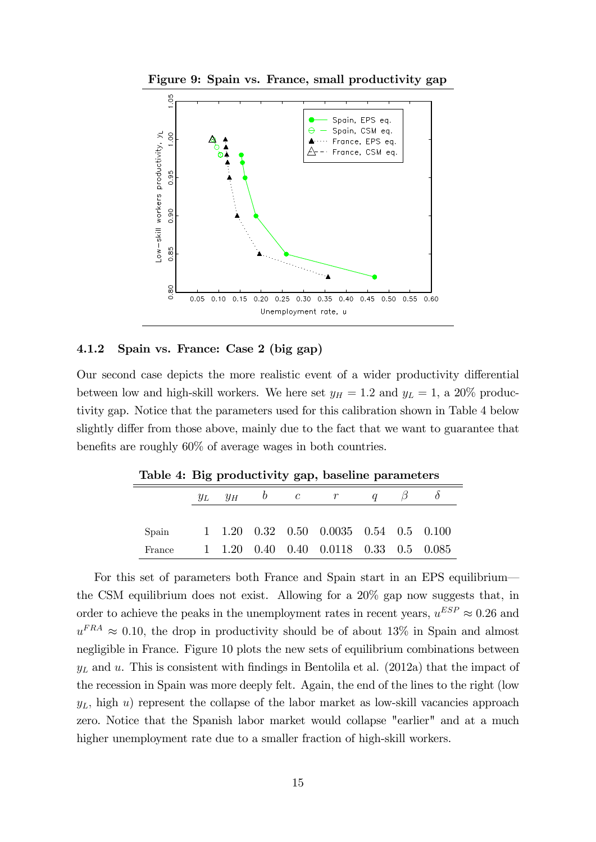



#### 4.1.2 Spain vs. France: Case 2 (big gap)

Our second case depicts the more realistic event of a wider productivity differential between low and high-skill workers. We here set  $y_H = 1.2$  and  $y_L = 1$ , a 20% productivity gap. Notice that the parameters used for this calibration shown in Table 4 below slightly differ from those above, mainly due to the fact that we want to guarantee that benefits are roughly  $60\%$  of average wages in both countries.

| Lable 4: Dig productivity gap, baseline parameters |  |  |                                                                             |  |  |
|----------------------------------------------------|--|--|-----------------------------------------------------------------------------|--|--|
|                                                    |  |  | $y_L$ $y_H$ b c r q $\beta$                                                 |  |  |
|                                                    |  |  |                                                                             |  |  |
| Spain                                              |  |  | $1\quad 1.20\quad 0.32\quad 0.50\quad 0.0035\quad 0.54\quad 0.5\quad 0.100$ |  |  |
| France                                             |  |  | 1 1.20 0.40 0.40 0.0118 0.33 0.5 0.085                                      |  |  |

Table 4: Big productivity gap, baseline parameters

For this set of parameters both France and Spain start in an EPS equilibrium the CSM equilibrium does not exist. Allowing for a 20% gap now suggests that, in order to achieve the peaks in the unemployment rates in recent years,  $u^{ESP} \approx 0.26$  and  $u^{FRA} \approx 0.10$ , the drop in productivity should be of about 13% in Spain and almost negligible in France. Figure 10 plots the new sets of equilibrium combinations between  $y_L$  and u. This is consistent with findings in Bentolila et al. (2012a) that the impact of the recession in Spain was more deeply felt. Again, the end of the lines to the right (low  $y_L$ , high u) represent the collapse of the labor market as low-skill vacancies approach zero. Notice that the Spanish labor market would collapse "earlier" and at a much higher unemployment rate due to a smaller fraction of high-skill workers.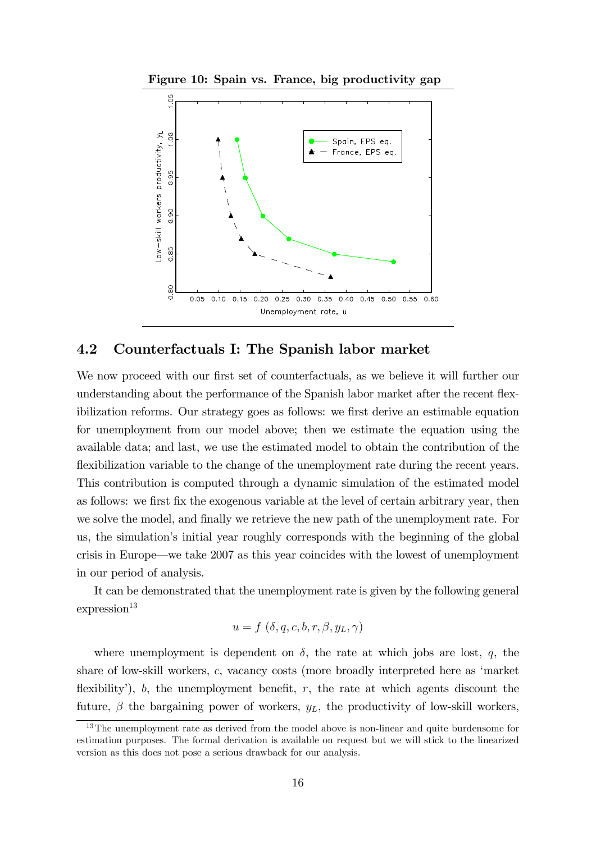Figure 10: Spain vs. France, big productivity gap



#### 4.2 Counterfactuals I: The Spanish labor market

We now proceed with our first set of counterfactuals, as we believe it will further our understanding about the performance of the Spanish labor market after the recent flexibilization reforms. Our strategy goes as follows: we first derive an estimable equation for unemployment from our model above; then we estimate the equation using the available data; and last, we use the estimated model to obtain the contribution of the flexibilization variable to the change of the unemployment rate during the recent years. This contribution is computed through a dynamic simulation of the estimated model as follows: we first fix the exogenous variable at the level of certain arbitrary year, then we solve the model, and finally we retrieve the new path of the unemployment rate. For us, the simulation's initial year roughly corresponds with the beginning of the global crisis in Europe—we take  $2007$  as this year coincides with the lowest of unemployment in our period of analysis.

It can be demonstrated that the unemployment rate is given by the following general  $expression<sup>13</sup>$ 

$$
u = f(\delta, q, c, b, r, \beta, y_L, \gamma)
$$

where unemployment is dependent on  $\delta$ , the rate at which jobs are lost, q, the share of low-skill workers, c, vacancy costs (more broadly interpreted here as ëmarket flexibility'),  $b$ , the unemployment benefit,  $r$ , the rate at which agents discount the future,  $\beta$  the bargaining power of workers,  $y_L$ , the productivity of low-skill workers,

<sup>&</sup>lt;sup>13</sup>The unemployment rate as derived from the model above is non-linear and quite burdensome for estimation purposes. The formal derivation is available on request but we will stick to the linearized version as this does not pose a serious drawback for our analysis.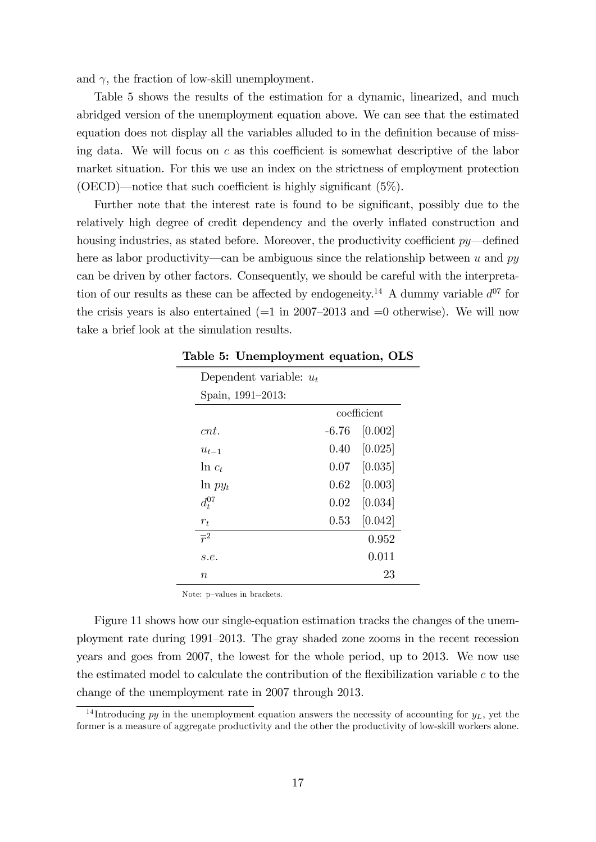and  $\gamma$ , the fraction of low-skill unemployment.

Table 5 shows the results of the estimation for a dynamic, linearized, and much abridged version of the unemployment equation above. We can see that the estimated equation does not display all the variables alluded to in the definition because of missing data. We will focus on  $c$  as this coefficient is somewhat descriptive of the labor market situation. For this we use an index on the strictness of employment protection (OECD)—notice that such coefficient is highly significant  $(5\%)$ .

Further note that the interest rate is found to be significant, possibly due to the relatively high degree of credit dependency and the overly inflated construction and housing industries, as stated before. Moreover, the productivity coefficient  $py$ —defined here as labor productivity—can be ambiguous since the relationship between u and py can be driven by other factors. Consequently, we should be careful with the interpretation of our results as these can be affected by endogeneity.<sup>14</sup> A dummy variable  $d^{07}$  for the crisis years is also entertained  $(=1 \text{ in } 2007-2013 \text{ and } =0$  otherwise). We will now take a brief look at the simulation results.

| Dependent variable: $u_t$ |  |                      |  |  |  |
|---------------------------|--|----------------------|--|--|--|
| Spain, 1991-2013:         |  |                      |  |  |  |
|                           |  | coefficient          |  |  |  |
| cnt.                      |  | $-6.76$ [0.002]      |  |  |  |
| $u_{t-1}$                 |  | $0.40$ [0.025]       |  |  |  |
| $\ln c_t$                 |  | $0.07$ [0.035]       |  |  |  |
| $\ln py_t$                |  | $0.62$ [0.003]       |  |  |  |
| $d^{07}_t$                |  | $0.02 \quad [0.034]$ |  |  |  |
| $r_{t}$                   |  | $0.53$ [0.042]       |  |  |  |
| $\overline{r}^2$          |  | 0.952                |  |  |  |
| s.e.                      |  | 0.011                |  |  |  |
| $n_{\rm c}$               |  | 23                   |  |  |  |

Table 5: Unemployment equation, OLS

Note: p-values in brackets.

Figure 11 shows how our single-equation estimation tracks the changes of the unemployment rate during 1991–2013. The gray shaded zone zooms in the recent recession years and goes from 2007, the lowest for the whole period, up to 2013. We now use the estimated model to calculate the contribution of the flexibilization variable  $c$  to the change of the unemployment rate in 2007 through 2013.

<sup>&</sup>lt;sup>14</sup> Introducing py in the unemployment equation answers the necessity of accounting for  $y_L$ , yet the former is a measure of aggregate productivity and the other the productivity of low-skill workers alone.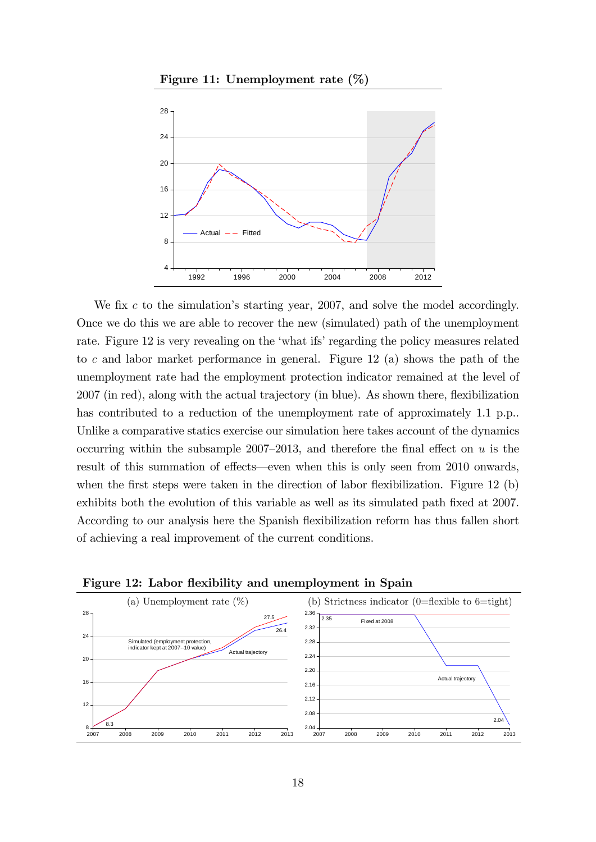

Figure 11: Unemployment rate (%)

We fix c to the simulation's starting year, 2007, and solve the model accordingly. Once we do this we are able to recover the new (simulated) path of the unemployment rate. Figure 12 is very revealing on the 'what ifs' regarding the policy measures related to c and labor market performance in general. Figure 12 (a) shows the path of the unemployment rate had the employment protection indicator remained at the level of 2007 (in red), along with the actual trajectory (in blue). As shown there, flexibilization has contributed to a reduction of the unemployment rate of approximately 1.1 p.p.. Unlike a comparative statics exercise our simulation here takes account of the dynamics occurring within the subsample 2007–2013, and therefore the final effect on  $u$  is the result of this summation of effects—even when this is only seen from 2010 onwards, when the first steps were taken in the direction of labor flexibilization. Figure 12  $(b)$ exhibits both the evolution of this variable as well as its simulated path fixed at 2007. According to our analysis here the Spanish flexibilization reform has thus fallen short of achieving a real improvement of the current conditions.



Figure 12: Labor flexibility and unemployment in Spain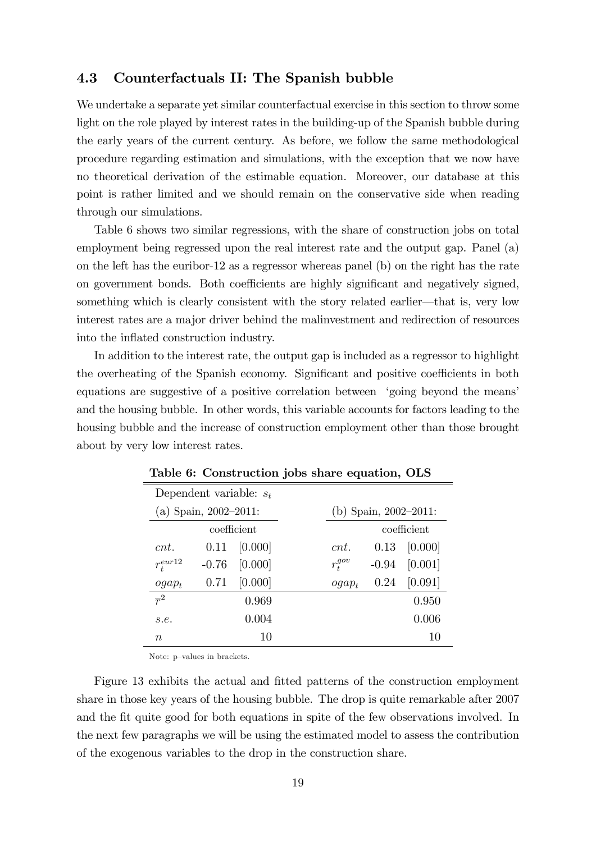#### 4.3 Counterfactuals II: The Spanish bubble

We undertake a separate yet similar counterfactual exercise in this section to throw some light on the role played by interest rates in the building-up of the Spanish bubble during the early years of the current century. As before, we follow the same methodological procedure regarding estimation and simulations, with the exception that we now have no theoretical derivation of the estimable equation. Moreover, our database at this point is rather limited and we should remain on the conservative side when reading through our simulations.

Table 6 shows two similar regressions, with the share of construction jobs on total employment being regressed upon the real interest rate and the output gap. Panel (a) on the left has the euribor-12 as a regressor whereas panel (b) on the right has the rate on government bonds. Both coefficients are highly significant and negatively signed, something which is clearly consistent with the story related earlier—that is, very low interest rates are a major driver behind the malinvestment and redirection of resources into the inflated construction industry.

In addition to the interest rate, the output gap is included as a regressor to highlight the overheating of the Spanish economy. Significant and positive coefficients in both equations are suggestive of a positive correlation between 'going beyond the means' and the housing bubble. In other words, this variable accounts for factors leading to the housing bubble and the increase of construction employment other than those brought about by very low interest rates.

|                           | rapic of Compet accion jobb bliare equation, Onb |         |  |                       |         |             |  |  |
|---------------------------|--------------------------------------------------|---------|--|-----------------------|---------|-------------|--|--|
| Dependent variable: $s_t$ |                                                  |         |  |                       |         |             |  |  |
| (a) Spain, $2002-2011$ :  |                                                  |         |  | (b) Spain, 2002-2011: |         |             |  |  |
| coefficient               |                                                  |         |  |                       |         | coefficient |  |  |
| cnt.                      | 0.11                                             | [0.000] |  | cnt.                  | 0.13    | [0.000]     |  |  |
| $r_t^{eur12}$             | $-0.76$                                          | [0.000] |  | $r_t^{gov}$           | $-0.94$ | [0.001]     |  |  |
| $ogap_t$                  | 0.71                                             | [0.000] |  | $oqap_t$              | 0.24    | [0.091]     |  |  |
| $\overline{r}^2$          |                                                  | 0.969   |  |                       |         | 0.950       |  |  |
| s.e.                      |                                                  | 0.004   |  |                       |         | 0.006       |  |  |
| $\, n$                    |                                                  | 10      |  |                       |         | 10          |  |  |

Table 6: Construction jobs share equation, OLS

Note: p-values in brackets.

Figure 13 exhibits the actual and fitted patterns of the construction employment share in those key years of the housing bubble. The drop is quite remarkable after 2007 and the fit quite good for both equations in spite of the few observations involved. In the next few paragraphs we will be using the estimated model to assess the contribution of the exogenous variables to the drop in the construction share.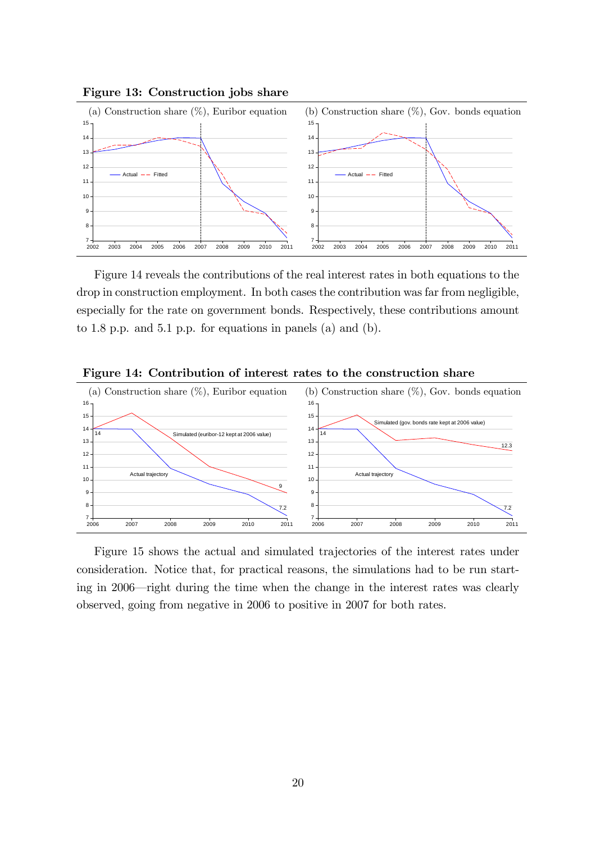

Figure 14 reveals the contributions of the real interest rates in both equations to the drop in construction employment. In both cases the contribution was far from negligible, especially for the rate on government bonds. Respectively, these contributions amount to 1.8 p.p. and 5.1 p.p. for equations in panels (a) and (b).



Figure 14: Contribution of interest rates to the construction share

Figure 15 shows the actual and simulated trajectories of the interest rates under consideration. Notice that, for practical reasons, the simulations had to be run starting in 2006—right during the time when the change in the interest rates was clearly observed, going from negative in 2006 to positive in 2007 for both rates.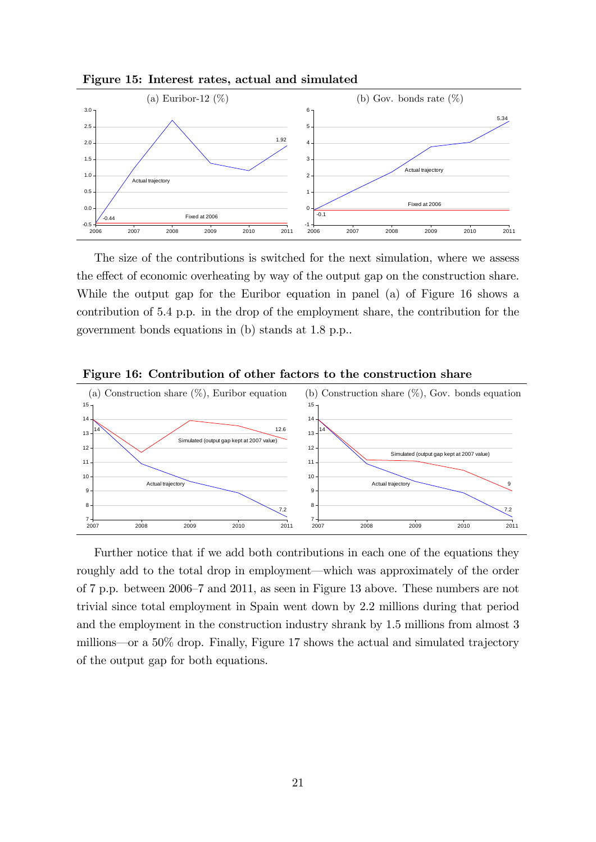

Figure 15: Interest rates, actual and simulated

The size of the contributions is switched for the next simulation, where we assess the effect of economic overheating by way of the output gap on the construction share. While the output gap for the Euribor equation in panel (a) of Figure 16 shows a contribution of 5.4 p.p. in the drop of the employment share, the contribution for the government bonds equations in (b) stands at 1.8 p.p..



Figure 16: Contribution of other factors to the construction share

Further notice that if we add both contributions in each one of the equations they roughly add to the total drop in employment—which was approximately of the order of 7 p.p. between 2006–7 and 2011, as seen in Figure 13 above. These numbers are not trivial since total employment in Spain went down by 2.2 millions during that period and the employment in the construction industry shrank by 1.5 millions from almost 3 millions—or a  $50\%$  drop. Finally, Figure 17 shows the actual and simulated trajectory of the output gap for both equations.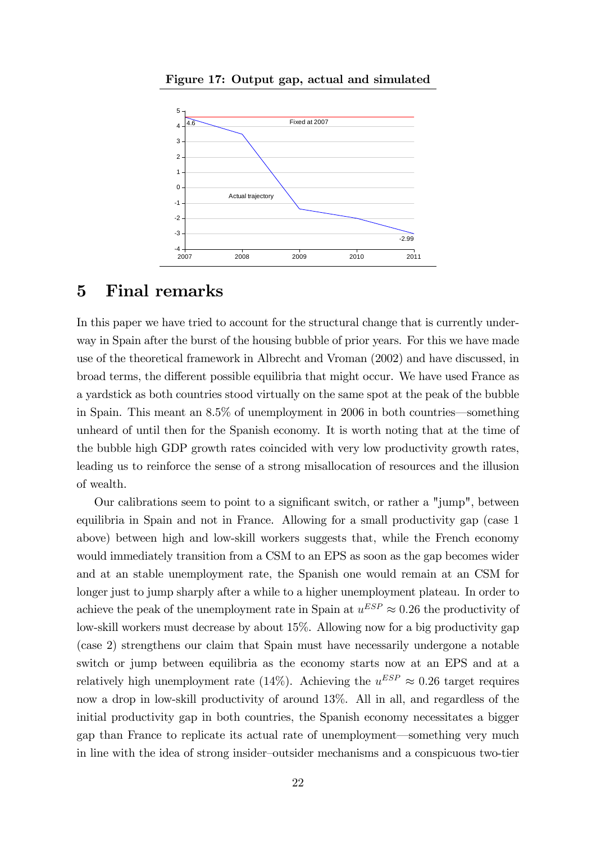

Figure 17: Output gap, actual and simulated

### 5 Final remarks

In this paper we have tried to account for the structural change that is currently underway in Spain after the burst of the housing bubble of prior years. For this we have made use of the theoretical framework in Albrecht and Vroman (2002) and have discussed, in broad terms, the different possible equilibria that might occur. We have used France as a yardstick as both countries stood virtually on the same spot at the peak of the bubble in Spain. This meant an  $8.5\%$  of unemployment in 2006 in both countries—something unheard of until then for the Spanish economy. It is worth noting that at the time of the bubble high GDP growth rates coincided with very low productivity growth rates, leading us to reinforce the sense of a strong misallocation of resources and the illusion of wealth.

Our calibrations seem to point to a significant switch, or rather a "jump", between equilibria in Spain and not in France. Allowing for a small productivity gap (case 1 above) between high and low-skill workers suggests that, while the French economy would immediately transition from a CSM to an EPS as soon as the gap becomes wider and at an stable unemployment rate, the Spanish one would remain at an CSM for longer just to jump sharply after a while to a higher unemployment plateau. In order to achieve the peak of the unemployment rate in Spain at  $u^{ESP} \approx 0.26$  the productivity of low-skill workers must decrease by about 15%. Allowing now for a big productivity gap (case 2) strengthens our claim that Spain must have necessarily undergone a notable switch or jump between equilibria as the economy starts now at an EPS and at a relatively high unemployment rate (14%). Achieving the  $u^{ESP} \approx 0.26$  target requires now a drop in low-skill productivity of around 13%. All in all, and regardless of the initial productivity gap in both countries, the Spanish economy necessitates a bigger gap than France to replicate its actual rate of unemployment—something very much in line with the idea of strong insider-outsider mechanisms and a conspicuous two-tier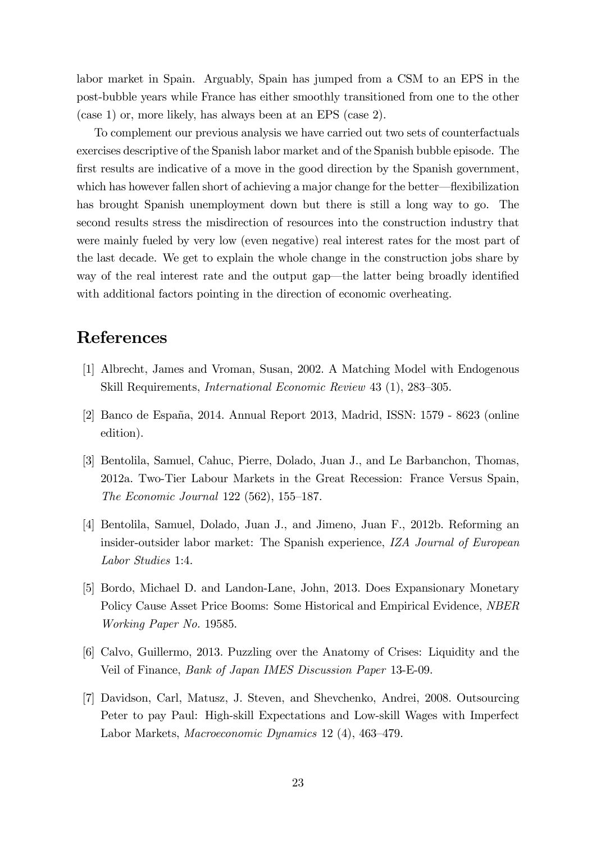labor market in Spain. Arguably, Spain has jumped from a CSM to an EPS in the post-bubble years while France has either smoothly transitioned from one to the other (case 1) or, more likely, has always been at an EPS (case 2).

To complement our previous analysis we have carried out two sets of counterfactuals exercises descriptive of the Spanish labor market and of the Spanish bubble episode. The first results are indicative of a move in the good direction by the Spanish government, which has however fallen short of achieving a major change for the better—flexibilization has brought Spanish unemployment down but there is still a long way to go. The second results stress the misdirection of resources into the construction industry that were mainly fueled by very low (even negative) real interest rates for the most part of the last decade. We get to explain the whole change in the construction jobs share by way of the real interest rate and the output gap—the latter being broadly identified with additional factors pointing in the direction of economic overheating.

# References

- [1] Albrecht, James and Vroman, Susan, 2002. A Matching Model with Endogenous Skill Requirements, *International Economic Review* 43 (1), 283–305.
- [2] Banco de España, 2014. Annual Report 2013, Madrid, ISSN: 1579 8623 (online edition).
- [3] Bentolila, Samuel, Cahuc, Pierre, Dolado, Juan J., and Le Barbanchon, Thomas, 2012a. Two-Tier Labour Markets in the Great Recession: France Versus Spain, The Economic Journal  $122$  (562), 155–187.
- [4] Bentolila, Samuel, Dolado, Juan J., and Jimeno, Juan F., 2012b. Reforming an insider-outsider labor market: The Spanish experience, IZA Journal of European Labor Studies 1:4.
- [5] Bordo, Michael D. and Landon-Lane, John, 2013. Does Expansionary Monetary Policy Cause Asset Price Booms: Some Historical and Empirical Evidence, NBER Working Paper No. 19585.
- [6] Calvo, Guillermo, 2013. Puzzling over the Anatomy of Crises: Liquidity and the Veil of Finance, Bank of Japan IMES Discussion Paper 13-E-09.
- [7] Davidson, Carl, Matusz, J. Steven, and Shevchenko, Andrei, 2008. Outsourcing Peter to pay Paul: High-skill Expectations and Low-skill Wages with Imperfect Labor Markets, Macroeconomic Dynamics 12 (4), 463–479.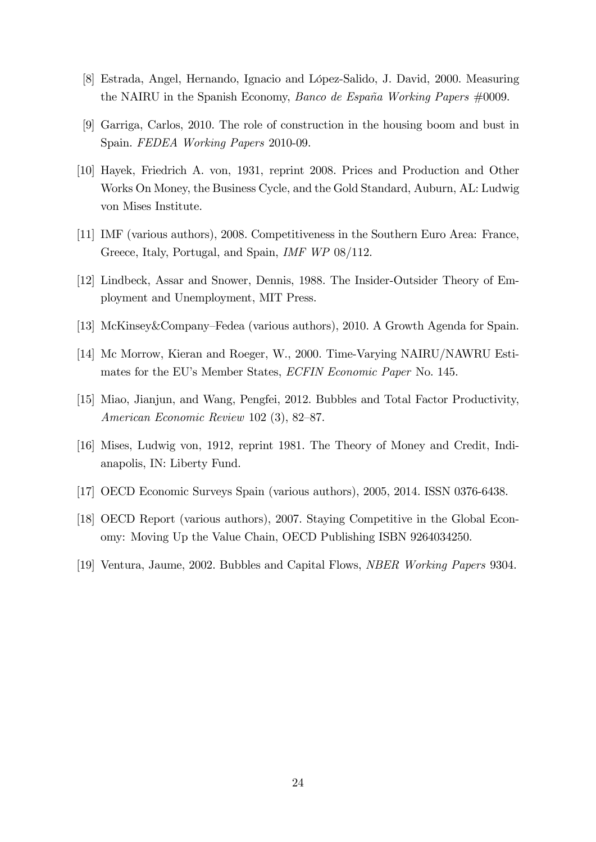- [8] Estrada, Angel, Hernando, Ignacio and López-Salido, J. David, 2000. Measuring the NAIRU in the Spanish Economy, *Banco de España Working Papers*  $\#0009$ .
- [9] Garriga, Carlos, 2010. The role of construction in the housing boom and bust in Spain. FEDEA Working Papers 2010-09.
- [10] Hayek, Friedrich A. von, 1931, reprint 2008. Prices and Production and Other Works On Money, the Business Cycle, and the Gold Standard, Auburn, AL: Ludwig von Mises Institute.
- [11] IMF (various authors), 2008. Competitiveness in the Southern Euro Area: France, Greece, Italy, Portugal, and Spain, IMF WP 08/112.
- [12] Lindbeck, Assar and Snower, Dennis, 1988. The Insider-Outsider Theory of Employment and Unemployment, MIT Press.
- [13] McKinsey&Company–Fedea (various authors), 2010. A Growth Agenda for Spain.
- [14] Mc Morrow, Kieran and Roeger, W., 2000. Time-Varying NAIRU/NAWRU Estimates for the EU's Member States, *ECFIN Economic Paper* No. 145.
- [15] Miao, Jianjun, and Wang, Pengfei, 2012. Bubbles and Total Factor Productivity, American Economic Review 102  $(3)$ , 82–87.
- [16] Mises, Ludwig von, 1912, reprint 1981. The Theory of Money and Credit, Indianapolis, IN: Liberty Fund.
- [17] OECD Economic Surveys Spain (various authors), 2005, 2014. ISSN 0376-6438.
- [18] OECD Report (various authors), 2007. Staying Competitive in the Global Economy: Moving Up the Value Chain, OECD Publishing ISBN 9264034250.
- [19] Ventura, Jaume, 2002. Bubbles and Capital Flows, NBER Working Papers 9304.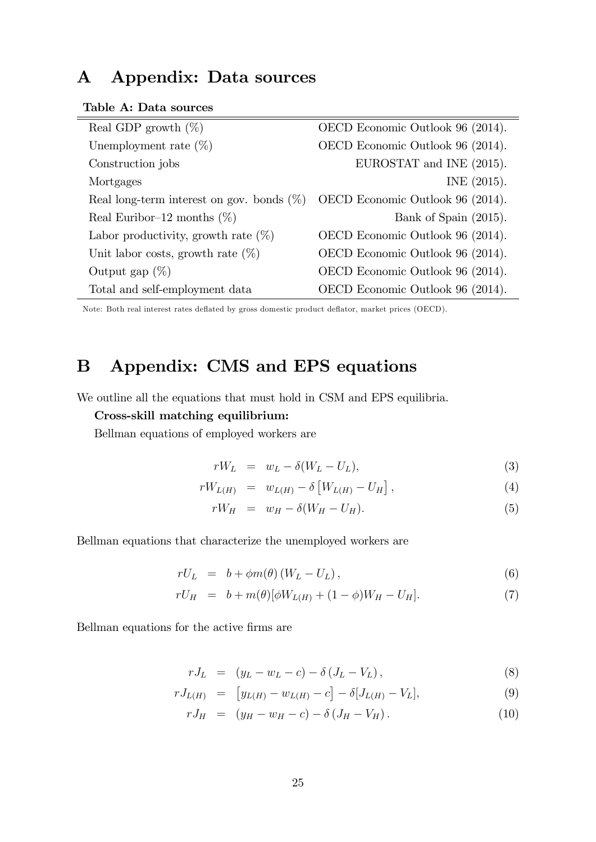# A Appendix: Data sources

Table A: Data sources

| Real GDP growth $(\%)$                       | OECD Economic Outlook 96 (2014). |
|----------------------------------------------|----------------------------------|
| Unemployment rate $(\%)$                     | OECD Economic Outlook 96 (2014). |
| Construction jobs                            | EUROSTAT and INE (2015).         |
| Mortgages                                    | INE (2015).                      |
| Real long-term interest on gov. bonds $(\%)$ | OECD Economic Outlook 96 (2014). |
| Real Euribor-12 months $(\%)$                | Bank of Spain (2015).            |
| Labor productivity, growth rate $(\%)$       | OECD Economic Outlook 96 (2014). |
| Unit labor costs, growth rate $(\%)$         | OECD Economic Outlook 96 (2014). |
| Output gap $(\%)$                            | OECD Economic Outlook 96 (2014). |
| Total and self-employment data               | OECD Economic Outlook 96 (2014). |

Note: Both real interest rates deflated by gross domestic product deflator, market prices (OECD).

# B Appendix: CMS and EPS equations

We outline all the equations that must hold in CSM and EPS equilibria.

#### Cross-skill matching equilibrium:

Bellman equations of employed workers are

$$
rW_L = w_L - \delta(W_L - U_L), \tag{3}
$$

$$
rW_{L(H)} = w_{L(H)} - \delta \left[ W_{L(H)} - U_H \right], \tag{4}
$$

$$
rW_H = w_H - \delta(W_H - U_H). \tag{5}
$$

Bellman equations that characterize the unemployed workers are

$$
rU_L = b + \phi m(\theta) (W_L - U_L), \qquad (6)
$$

$$
rU_H = b + m(\theta)[\phi W_{L(H)} + (1 - \phi)W_H - U_H].
$$
\n(7)

Bellman equations for the active firms are

$$
rJ_L = (y_L - w_L - c) - \delta (J_L - V_L), \qquad (8)
$$

$$
rJ_{L(H)} = [y_{L(H)} - w_{L(H)} - c] - \delta[J_{L(H)} - V_L], \tag{9}
$$

$$
rJ_H = (y_H - w_H - c) - \delta (J_H - V_H). \tag{10}
$$